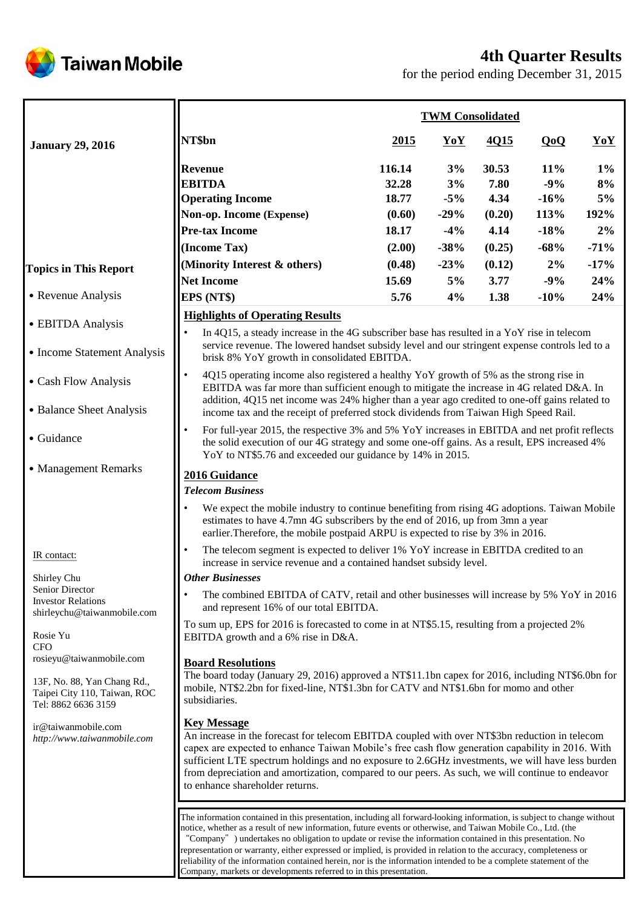



# for the period ending December 31, 2015

|                                                                                    | <b>TWM Consolidated</b>                                                                                                                                                                                                                                                                                                                                                                                                                                                                                                                                                                                                                                                 |                          |                         |                       |                        |                      |
|------------------------------------------------------------------------------------|-------------------------------------------------------------------------------------------------------------------------------------------------------------------------------------------------------------------------------------------------------------------------------------------------------------------------------------------------------------------------------------------------------------------------------------------------------------------------------------------------------------------------------------------------------------------------------------------------------------------------------------------------------------------------|--------------------------|-------------------------|-----------------------|------------------------|----------------------|
| <b>January 29, 2016</b>                                                            | NT\$bn                                                                                                                                                                                                                                                                                                                                                                                                                                                                                                                                                                                                                                                                  | 2015                     | $\mathbf{Yo}\mathbf{Y}$ | 4Q15                  | QoQ                    | YoY                  |
|                                                                                    | <b>Revenue</b><br><b>EBITDA</b><br><b>Operating Income</b>                                                                                                                                                                                                                                                                                                                                                                                                                                                                                                                                                                                                              | 116.14<br>32.28<br>18.77 | 3%<br>3%<br>$-5%$       | 30.53<br>7.80<br>4.34 | 11%<br>$-9%$<br>$-16%$ | $1\%$<br>8%<br>$5\%$ |
|                                                                                    | Non-op. Income (Expense)                                                                                                                                                                                                                                                                                                                                                                                                                                                                                                                                                                                                                                                | (0.60)                   | $-29%$                  | (0.20)                | 113%                   | 192%                 |
|                                                                                    | <b>Pre-tax Income</b>                                                                                                                                                                                                                                                                                                                                                                                                                                                                                                                                                                                                                                                   | 18.17                    | $-4%$                   | 4.14                  | $-18%$                 | 2%                   |
|                                                                                    | (Income Tax)                                                                                                                                                                                                                                                                                                                                                                                                                                                                                                                                                                                                                                                            | (2.00)                   | $-38%$                  | (0.25)                | $-68%$                 | $-71%$               |
|                                                                                    | (Minority Interest & others)                                                                                                                                                                                                                                                                                                                                                                                                                                                                                                                                                                                                                                            | (0.48)                   | $-23%$                  | (0.12)                | 2%                     | $-17%$               |
| <b>Topics in This Report</b>                                                       | <b>Net Income</b>                                                                                                                                                                                                                                                                                                                                                                                                                                                                                                                                                                                                                                                       | 15.69                    | 5%                      | 3.77                  | $-9%$                  | 24%                  |
| • Revenue Analysis                                                                 | EPS (NT\$)                                                                                                                                                                                                                                                                                                                                                                                                                                                                                                                                                                                                                                                              | 5.76                     | 4%                      | 1.38                  | $-10%$                 | 24%                  |
|                                                                                    | <b>Highlights of Operating Results</b>                                                                                                                                                                                                                                                                                                                                                                                                                                                                                                                                                                                                                                  |                          |                         |                       |                        |                      |
| • EBITDA Analysis                                                                  | $\bullet$                                                                                                                                                                                                                                                                                                                                                                                                                                                                                                                                                                                                                                                               |                          |                         |                       |                        |                      |
| • Income Statement Analysis                                                        | In 4Q15, a steady increase in the 4G subscriber base has resulted in a YoY rise in telecom<br>service revenue. The lowered handset subsidy level and our stringent expense controls led to a<br>brisk 8% YoY growth in consolidated EBITDA.                                                                                                                                                                                                                                                                                                                                                                                                                             |                          |                         |                       |                        |                      |
| • Cash Flow Analysis                                                               | $\bullet$<br>4Q15 operating income also registered a healthy YoY growth of 5% as the strong rise in<br>EBITDA was far more than sufficient enough to mitigate the increase in 4G related D&A. In<br>addition, 4Q15 net income was 24% higher than a year ago credited to one-off gains related to                                                                                                                                                                                                                                                                                                                                                                       |                          |                         |                       |                        |                      |
| • Balance Sheet Analysis                                                           | income tax and the receipt of preferred stock dividends from Taiwan High Speed Rail.                                                                                                                                                                                                                                                                                                                                                                                                                                                                                                                                                                                    |                          |                         |                       |                        |                      |
| • Guidance                                                                         | $\bullet$<br>For full-year 2015, the respective 3% and 5% YoY increases in EBITDA and net profit reflects<br>the solid execution of our 4G strategy and some one-off gains. As a result, EPS increased 4%<br>YoY to NT\$5.76 and exceeded our guidance by 14% in 2015.                                                                                                                                                                                                                                                                                                                                                                                                  |                          |                         |                       |                        |                      |
| • Management Remarks                                                               | 2016 Guidance                                                                                                                                                                                                                                                                                                                                                                                                                                                                                                                                                                                                                                                           |                          |                         |                       |                        |                      |
|                                                                                    | <b>Telecom Business</b>                                                                                                                                                                                                                                                                                                                                                                                                                                                                                                                                                                                                                                                 |                          |                         |                       |                        |                      |
|                                                                                    | $\bullet$<br>We expect the mobile industry to continue benefiting from rising 4G adoptions. Taiwan Mobile<br>estimates to have 4.7mn 4G subscribers by the end of 2016, up from 3mn a year<br>earlier. Therefore, the mobile postpaid ARPU is expected to rise by 3% in 2016.                                                                                                                                                                                                                                                                                                                                                                                           |                          |                         |                       |                        |                      |
| IR contact:                                                                        | The telecom segment is expected to deliver 1% YoY increase in EBITDA credited to an<br>$\bullet$<br>increase in service revenue and a contained handset subsidy level.                                                                                                                                                                                                                                                                                                                                                                                                                                                                                                  |                          |                         |                       |                        |                      |
| Shirley Chu                                                                        | <b>Other Businesses</b>                                                                                                                                                                                                                                                                                                                                                                                                                                                                                                                                                                                                                                                 |                          |                         |                       |                        |                      |
| Senior Director<br><b>Investor Relations</b><br>shirleychu@taiwanmobile.com        | The combined EBITDA of CATV, retail and other businesses will increase by 5% YoY in 2016<br>$\bullet$<br>and represent 16% of our total EBITDA.                                                                                                                                                                                                                                                                                                                                                                                                                                                                                                                         |                          |                         |                       |                        |                      |
| Rosie Yu<br><b>CFO</b>                                                             | To sum up, EPS for 2016 is forecasted to come in at NT\$5.15, resulting from a projected 2%<br>EBITDA growth and a 6% rise in D&A.                                                                                                                                                                                                                                                                                                                                                                                                                                                                                                                                      |                          |                         |                       |                        |                      |
| rosieyu@taiwanmobile.com                                                           | <b>Board Resolutions</b>                                                                                                                                                                                                                                                                                                                                                                                                                                                                                                                                                                                                                                                |                          |                         |                       |                        |                      |
| 13F, No. 88, Yan Chang Rd.,<br>Taipei City 110, Taiwan, ROC<br>Tel: 8862 6636 3159 | The board today (January 29, 2016) approved a NT\$11.1bn capex for 2016, including NT\$6.0bn for<br>mobile, NT\$2.2bn for fixed-line, NT\$1.3bn for CATV and NT\$1.6bn for momo and other<br>subsidiaries.                                                                                                                                                                                                                                                                                                                                                                                                                                                              |                          |                         |                       |                        |                      |
| ir@taiwanmobile.com<br>http://www.taiwanmobile.com                                 | <b>Key Message</b><br>An increase in the forecast for telecom EBITDA coupled with over NT\$3bn reduction in telecom<br>capex are expected to enhance Taiwan Mobile's free cash flow generation capability in 2016. With<br>sufficient LTE spectrum holdings and no exposure to 2.6GHz investments, we will have less burden<br>from depreciation and amortization, compared to our peers. As such, we will continue to endeavor<br>to enhance shareholder returns.                                                                                                                                                                                                      |                          |                         |                       |                        |                      |
|                                                                                    | The information contained in this presentation, including all forward-looking information, is subject to change without<br>notice, whether as a result of new information, future events or otherwise, and Taiwan Mobile Co., Ltd. (the<br>"Company" ) undertakes no obligation to update or revise the information contained in this presentation. No<br>representation or warranty, either expressed or implied, is provided in relation to the accuracy, completeness or<br>reliability of the information contained herein, nor is the information intended to be a complete statement of the<br>Company, markets or developments referred to in this presentation. |                          |                         |                       |                        |                      |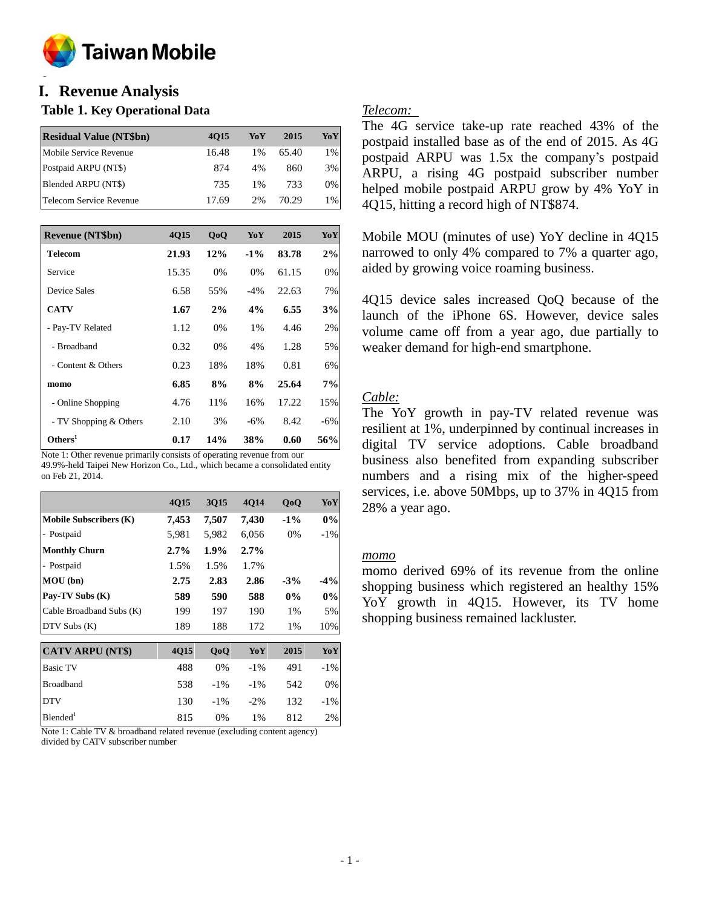

#### **o I. Revenue Analysis**

# **Table 1. Key Operational Data**

| <b>Residual Value (NT\$bn)</b> | 4015  | YoY   | 2015  | YoY   |
|--------------------------------|-------|-------|-------|-------|
| Mobile Service Revenue         | 16.48 | $1\%$ | 65.40 | 1%    |
| Postpaid ARPU (NT\$)           | 874   | 4%    | 860   | 3%    |
| Blended ARPU (NT\$)            | 735   | $1\%$ | 733   | $0\%$ |
| Telecom Service Revenue        | 17.69 | 2%    | 70.29 | $1\%$ |

| <b>Revenue (NT\$bn)</b> | 4Q15  | QoQ   | YoY    | 2015  | YoY    |
|-------------------------|-------|-------|--------|-------|--------|
| <b>Telecom</b>          | 21.93 | 12%   | $-1\%$ | 83.78 | 2%     |
| Service                 | 15.35 | 0%    | 0%     | 61.15 | 0%     |
| Device Sales            | 6.58  | 55%   | $-4%$  | 22.63 | 7%     |
| <b>CATV</b>             | 1.67  | 2%    | 4%     | 6.55  | 3%     |
| - Pay-TV Related        | 1.12  | 0%    | 1%     | 4.46  | 2%     |
| - Broadband             | 0.32  | $0\%$ | 4%     | 1.28  | 5%     |
| - Content & Others      | 0.23  | 18%   | 18%    | 0.81  | 6%     |
| momo                    | 6.85  | 8%    | 8%     | 25.64 | 7%     |
| - Online Shopping       | 4.76  | 11%   | 16%    | 17.22 | 15%    |
| - TV Shopping & Others  | 2.10  | 3%    | $-6\%$ | 8.42  | $-6\%$ |
| Others <sup>1</sup>     | 0.17  | 14%   | 38%    | 0.60  | 56%    |

Note 1: Other revenue primarily consists of operating revenue from our 49.9%-held Taipei New Horizon Co., Ltd., which became a consolidated entity on Feb 21, 2014.

|                               | 4Q15    | 3Q15   | 4Q14   | QoQ    | YoY    |
|-------------------------------|---------|--------|--------|--------|--------|
| <b>Mobile Subscribers (K)</b> | 7,453   | 7,507  | 7,430  | $-1\%$ | $0\%$  |
| - Postpaid                    | 5,981   | 5,982  | 6,056  | 0%     | $-1\%$ |
| <b>Monthly Churn</b>          | $2.7\%$ | 1.9%   | 2.7%   |        |        |
| - Postpaid                    | 1.5%    | 1.5%   | 1.7%   |        |        |
| MOU (bn)                      | 2.75    | 2.83   | 2.86   | $-3%$  | $-4\%$ |
| Pay-TV Subs (K)               | 589     | 590    | 588    | $0\%$  | $0\%$  |
| Cable Broadband Subs (K)      | 199     | 197    | 190    | 1%     | 5%     |
| DTV Subs (K)                  | 189     | 188    | 172    | 1%     | 10%    |
|                               |         |        |        |        |        |
| <b>CATV ARPU (NT\$)</b>       | 4Q15    | QoQ    | YoY    | 2015   | YoY    |
| <b>Basic TV</b>               | 488     | 0%     | $-1\%$ | 491    | $-1\%$ |
| <b>Broadband</b>              | 538     | $-1\%$ | $-1\%$ | 542    | 0%     |
| <b>DTV</b>                    | 130     | $-1\%$ | $-2\%$ | 132    | $-1\%$ |
| Blended <sup>1</sup>          | 815     | 0%     | 1%     | 812    | 2%     |

Note 1: Cable TV & broadband related revenue (excluding content agency) divided by CATV subscriber number

# *Telecom:*

The 4G service take-up rate reached 43% of the postpaid installed base as of the end of 2015. As 4G postpaid ARPU was 1.5x the company's postpaid ARPU, a rising 4G postpaid subscriber number helped mobile postpaid ARPU grow by 4% YoY in 4Q15, hitting a record high of NT\$874.

Mobile MOU (minutes of use) YoY decline in 4Q15 narrowed to only 4% compared to 7% a quarter ago, aided by growing voice roaming business.

4Q15 device sales increased QoQ because of the launch of the iPhone 6S. However, device sales volume came off from a year ago, due partially to weaker demand for high-end smartphone.

# *Cable:*

The YoY growth in pay-TV related revenue was resilient at 1%, underpinned by continual increases in digital TV service adoptions. Cable broadband business also benefited from expanding subscriber numbers and a rising mix of the higher-speed services, i.e. above 50Mbps, up to 37% in 4Q15 from 28% a year ago.

#### *momo*

momo derived 69% of its revenue from the online shopping business which registered an healthy 15% YoY growth in 4Q15. However, its TV home shopping business remained lackluster.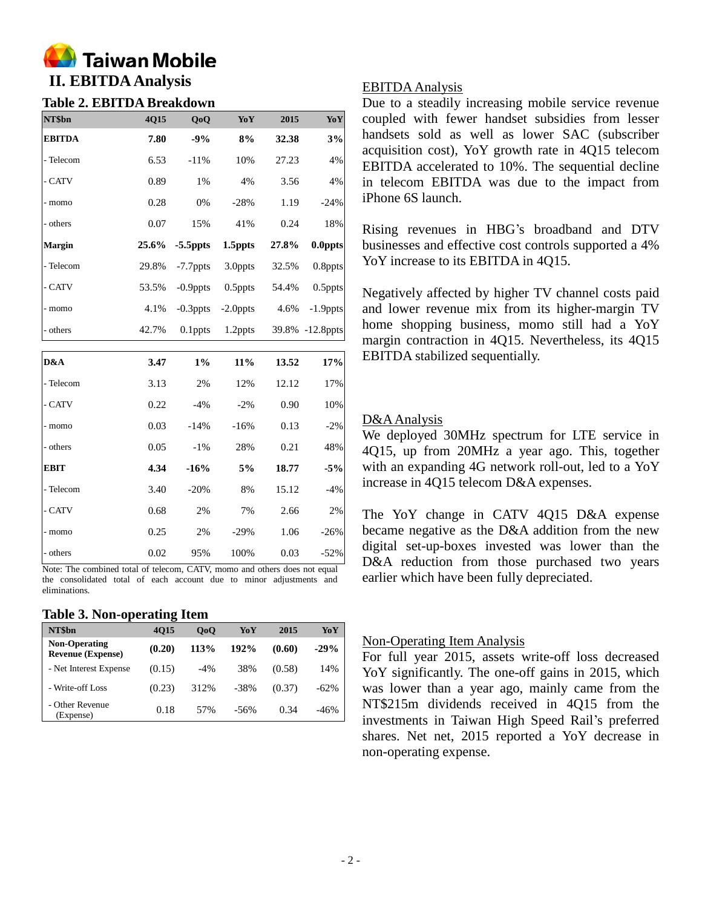

# **Table 2. EBITDA Breakdown**

| NT\$bn        | 4Q15  | QoQ         | Yo Y        | 2015  | YoY             |
|---------------|-------|-------------|-------------|-------|-----------------|
| <b>EBITDA</b> | 7.80  | $-9%$       | 8%          | 32.38 | 3%              |
| - Telecom     | 6.53  | $-11%$      | 10%         | 27.23 | 4%              |
| - CATV        | 0.89  | 1%          | 4%          | 3.56  | 4%              |
| - momo        | 0.28  | 0%          | $-28%$      | 1.19  | $-24%$          |
| - others      | 0.07  | 15%         | 41%         | 0.24  | 18%             |
| Margin        | 25.6% | $-5.5$ ppts | 1.5ppts     | 27.8% | 0.0ppts         |
| - Telecom     | 29.8% | -7.7ppts    | 3.0ppts     | 32.5% | 0.8ppts         |
| - CATV        | 53.5% | $-0.9$ ppts | 0.5ppts     | 54.4% | 0.5ppts         |
| - momo        | 4.1%  | $-0.3$ ppts | $-2.0$ ppts | 4.6%  | $-1.9$ ppts     |
| - others      | 42.7% | $0.1$ ppts  | 1.2ppts     |       | 39.8% -12.8ppts |
|               |       |             |             |       |                 |
| D&A           | 3.47  | $1\%$       | 11%         | 13.52 | 17%             |
| - Telecom     | 3.13  | 2%          | 12%         | 12.12 | 17%             |
| - CATV        | 0.22  | $-4%$       | $-2%$       | 0.90  | 10%             |
| - momo        | 0.03  | $-14%$      | $-16%$      | 0.13  | $-2%$           |
| - others      | 0.05  | $-1\%$      | 28%         | 0.21  | 48%             |
| <b>EBIT</b>   | 4.34  | $-16%$      | 5%          | 18.77 | $-5%$           |
| - Telecom     | 3.40  | $-20%$      | 8%          | 15.12 | $-4%$           |
| - CATV        | 0.68  | 2%          | 7%          | 2.66  | 2%              |
| - momo        | 0.25  | 2%          | $-29%$      | 1.06  | $-26%$          |
| - others      | 0.02  | 95%         | 100%        | 0.03  | $-52%$          |

Note: The combined total of telecom, CATV, momo and others does not equal the consolidated total of each account due to minor adjustments and eliminations.

#### **Table 3. Non-operating Item**

| NT\$bn                                           | 4015   | 0 <sub>0</sub> | YoY    | 2015   | YoY    |
|--------------------------------------------------|--------|----------------|--------|--------|--------|
| <b>Non-Operating</b><br><b>Revenue (Expense)</b> | (0.20) | 113%           | 192%   | (0.60) | $-29%$ |
| - Net Interest Expense                           | (0.15) | $-4\%$         | 38%    | (0.58) | 14%    |
| - Write-off Loss                                 | (0.23) | 312%           | $-38%$ | (0.37) | $-62%$ |
| - Other Revenue<br>(Expense)                     | 0.18   | 57%            | $-56%$ | 0.34   | $-46%$ |

# EBITDA Analysis

Due to a steadily increasing mobile service revenue coupled with fewer handset subsidies from lesser handsets sold as well as lower SAC (subscriber acquisition cost), YoY growth rate in 4Q15 telecom EBITDA accelerated to 10%. The sequential decline in telecom EBITDA was due to the impact from iPhone 6S launch.

Rising revenues in HBG's broadband and DTV businesses and effective cost controls supported a 4% YoY increase to its EBITDA in 4Q15.

Negatively affected by higher TV channel costs paid and lower revenue mix from its higher-margin TV home shopping business, momo still had a YoY margin contraction in 4Q15. Nevertheless, its 4Q15 EBITDA stabilized sequentially.

# D&AAnalysis

We deployed 30MHz spectrum for LTE service in 4Q15, up from 20MHz a year ago. This, together with an expanding 4G network roll-out, led to a YoY increase in 4Q15 telecom D&A expenses.

The YoY change in CATV 4Q15 D&A expense became negative as the D&A addition from the new digital set-up-boxes invested was lower than the D&A reduction from those purchased two years earlier which have been fully depreciated.

# Non-Operating Item Analysis

For full year 2015, assets write-off loss decreased YoY significantly. The one-off gains in 2015, which was lower than a year ago, mainly came from the NT\$215m dividends received in 4Q15 from the investments in Taiwan High Speed Rail's preferred shares. Net net, 2015 reported a YoY decrease in non-operating expense.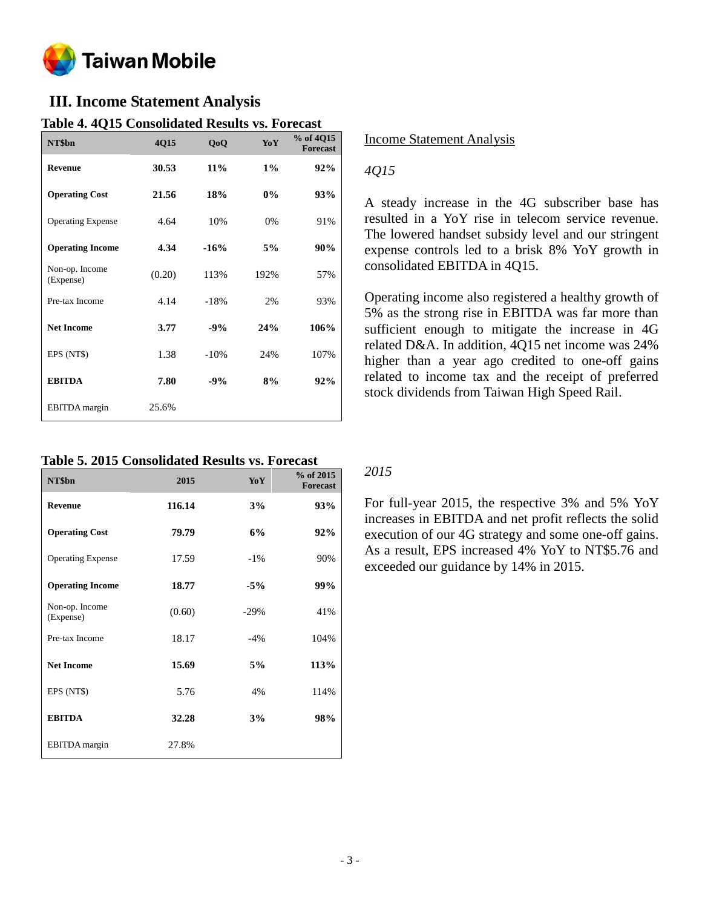

# **III. Income Statement Analysis**

| NT\$bn                      | 4Q15   | QoQ    | YoY   | % of 4Q15<br><b>Forecast</b> |
|-----------------------------|--------|--------|-------|------------------------------|
| <b>Revenue</b>              | 30.53  | $11\%$ | $1\%$ | 92%                          |
| <b>Operating Cost</b>       | 21.56  | 18%    | $0\%$ | 93%                          |
| <b>Operating Expense</b>    | 4.64   | 10%    | 0%    | 91%                          |
| <b>Operating Income</b>     | 4.34   | $-16%$ | 5%    | 90%                          |
| Non-op. Income<br>(Expense) | (0.20) | 113%   | 192%  | 57%                          |
| Pre-tax Income              | 4.14   | $-18%$ | 2%    | 93%                          |
| <b>Net Income</b>           | 3.77   | $-9%$  | 24%   | 106%                         |
| EPS (NT\$)                  | 1.38   | $-10%$ | 24%   | 107%                         |
| <b>EBITDA</b>               | 7.80   | $-9%$  | 8%    | 92%                          |
| EBITDA margin               | 25.6%  |        |       |                              |

# **Table 4. 4Q15 Consolidated Results vs. Forecast**

# **Table 5. 2015 Consolidated Results vs. Forecast**

| NT\$bn                      | 2015   | YoY    | % of 2015<br><b>Forecast</b> |
|-----------------------------|--------|--------|------------------------------|
| <b>Revenue</b>              | 116.14 | 3%     | 93%                          |
| <b>Operating Cost</b>       | 79.79  | 6%     | 92%                          |
| <b>Operating Expense</b>    | 17.59  | $-1\%$ | 90%                          |
| <b>Operating Income</b>     | 18.77  | $-5%$  | 99%                          |
| Non-op. Income<br>(Expense) | (0.60) | $-29%$ | 41%                          |
| Pre-tax Income              | 18.17  | $-4%$  | 104%                         |
| <b>Net Income</b>           | 15.69  | 5%     | 113%                         |
| EPS (NT\$)                  | 5.76   | 4%     | 114%                         |
| <b>EBITDA</b>               | 32.28  | 3%     | 98%                          |
| <b>EBITDA</b> margin        | 27.8%  |        |                              |

Income Statement Analysis

# *4Q15*

A steady increase in the 4G subscriber base has resulted in a YoY rise in telecom service revenue. The lowered handset subsidy level and our stringent expense controls led to a brisk 8% YoY growth in consolidated EBITDA in 4Q15.

Operating income also registered a healthy growth of 5% as the strong rise in EBITDA was far more than sufficient enough to mitigate the increase in 4G related D&A. In addition, 4Q15 net income was 24% higher than a year ago credited to one-off gains related to income tax and the receipt of preferred stock dividends from Taiwan High Speed Rail.

# *2015*

For full-year 2015, the respective 3% and 5% YoY increases in EBITDA and net profit reflects the solid execution of our 4G strategy and some one-off gains. As a result, EPS increased 4% YoY to NT\$5.76 and exceeded our guidance by 14% in 2015.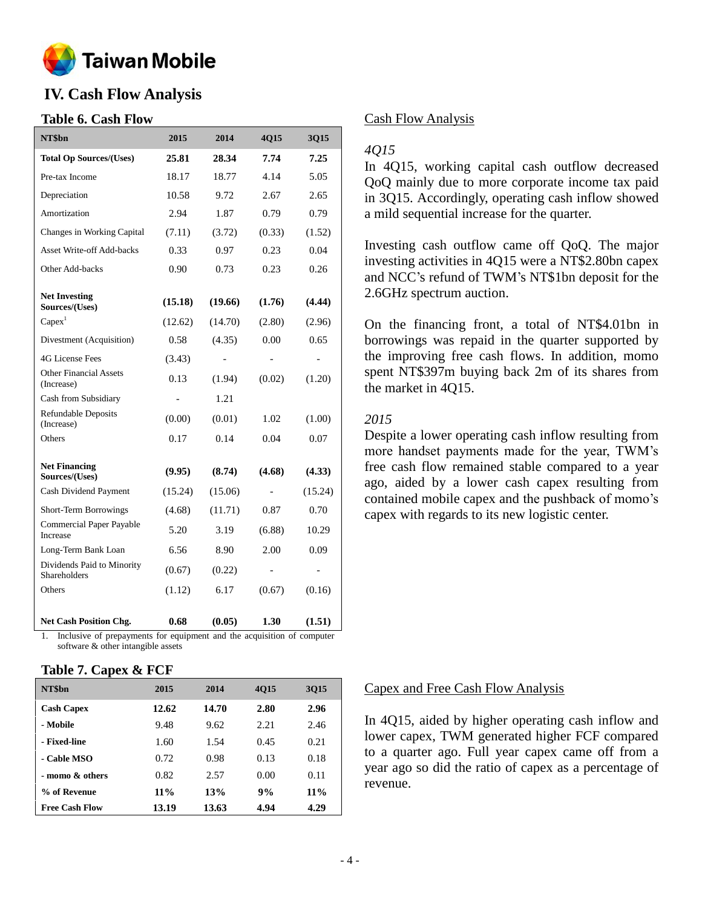

# **IV. Cash Flow Analysis**

# **Table 6. Cash Flow**

| NT\$bn                                      | 2015    | 2014    | 4Q15                     | 3Q15    |
|---------------------------------------------|---------|---------|--------------------------|---------|
| <b>Total Op Sources/(Uses)</b>              | 25.81   | 28.34   | 7.74                     | 7.25    |
| Pre-tax Income                              | 18.17   | 18.77   | 4.14                     | 5.05    |
| Depreciation                                | 10.58   | 9.72    | 2.67                     | 2.65    |
| Amortization                                | 2.94    | 1.87    | 0.79                     | 0.79    |
| Changes in Working Capital                  | (7.11)  | (3.72)  | (0.33)                   | (1.52)  |
| <b>Asset Write-off Add-backs</b>            | 0.33    | 0.97    | 0.23                     | 0.04    |
| Other Add-backs                             | 0.90    | 0.73    | 0.23                     | 0.26    |
| <b>Net Investing</b><br>Sources/(Uses)      | (15.18) | (19.66) | (1.76)                   | (4.44)  |
| Capex <sup>1</sup>                          | (12.62) | (14.70) | (2.80)                   | (2.96)  |
| Divestment (Acquisition)                    | 0.58    | (4.35)  | 0.00                     | 0.65    |
| <b>4G License Fees</b>                      | (3.43)  |         |                          |         |
| <b>Other Financial Assets</b><br>(Increase) | 0.13    | (1.94)  | (0.02)                   | (1.20)  |
| Cash from Subsidiary                        |         | 1.21    |                          |         |
| <b>Refundable Deposits</b><br>(Increase)    | (0.00)  | (0.01)  | 1.02                     | (1.00)  |
| Others                                      | 0.17    | 0.14    | 0.04                     | 0.07    |
| <b>Net Financing</b><br>Sources/(Uses)      | (9.95)  | (8.74)  | (4.68)                   | (4.33)  |
| Cash Dividend Payment                       | (15.24) | (15.06) |                          | (15.24) |
| Short-Term Borrowings                       | (4.68)  | (11.71) | 0.87                     | 0.70    |
| Commercial Paper Payable<br>Increase        | 5.20    | 3.19    | (6.88)                   | 10.29   |
| Long-Term Bank Loan                         | 6.56    | 8.90    | 2.00                     | 0.09    |
| Dividends Paid to Minority<br>Shareholders  | (0.67)  | (0.22)  | $\overline{\phantom{0}}$ |         |
| Others                                      | (1.12)  | 6.17    | (0.67)                   | (0.16)  |
| <b>Net Cash Position Chg.</b>               | 0.68    | (0.05)  | 1.30                     | (1.51)  |

1. Inclusive of prepayments for equipment and the acquisition of computer software & other intangible assets

#### **Table 7. Capex & FCF**

| NT\$bn                | 2015   | 2014  | <b>4015</b> | 3015   |
|-----------------------|--------|-------|-------------|--------|
| <b>Cash Capex</b>     | 12.62  | 14.70 | 2.80        | 2.96   |
| - Mobile              | 9.48   | 9.62  | 2.21        | 2.46   |
| - Fixed-line          | 1.60   | 1.54  | 0.45        | 0.21   |
| - Cable MSO           | 0.72   | 0.98  | 0.13        | 0.18   |
| - momo & others       | 0.82   | 2.57  | 0.00        | 0.11   |
| % of Revenue          | $11\%$ | 13%   | 9%          | $11\%$ |
| <b>Free Cash Flow</b> | 13.19  | 13.63 | 4.94        | 4.29   |

#### Cash Flow Analysis

### *4Q15*

In 4Q15, working capital cash outflow decreased QoQ mainly due to more corporate income tax paid in 3Q15. Accordingly, operating cash inflow showed a mild sequential increase for the quarter.

Investing cash outflow came off QoQ. The major investing activities in 4Q15 were a NT\$2.80bn capex and NCC's refund of TWM's NT\$1bn deposit for the 2.6GHz spectrum auction.

On the financing front, a total of NT\$4.01bn in borrowings was repaid in the quarter supported by the improving free cash flows. In addition, momo spent NT\$397m buying back 2m of its shares from the market in 4Q15.

### *2015*

Despite a lower operating cash inflow resulting from more handset payments made for the year, TWM's free cash flow remained stable compared to a year ago, aided by a lower cash capex resulting from contained mobile capex and the pushback of momo's capex with regards to its new logistic center.

#### Capex and Free Cash Flow Analysis

In 4Q15, aided by higher operating cash inflow and lower capex, TWM generated higher FCF compared to a quarter ago. Full year capex came off from a year ago so did the ratio of capex as a percentage of revenue.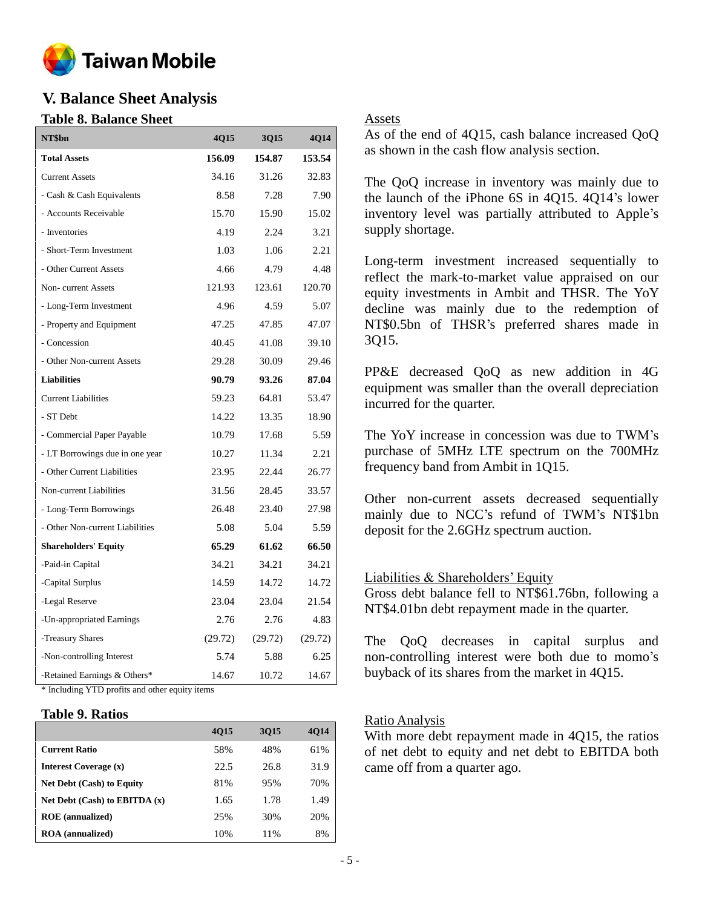

# **V. Balance Sheet Analysis**

# **Table 8. Balance Sheet**

| NT\$bn                          | <b>4Q15</b> | <b>3Q15</b> | 4Q14    |
|---------------------------------|-------------|-------------|---------|
| <b>Total Assets</b>             | 156.09      | 154.87      | 153.54  |
| <b>Current Assets</b>           | 34.16       | 31.26       | 32.83   |
| - Cash & Cash Equivalents       | 8.58        | 7.28        | 7.90    |
| - Accounts Receivable           | 15.70       | 15.90       | 15.02   |
| - Inventories                   | 4.19        | 2.24        | 3.21    |
| - Short-Term Investment         | 1.03        | 1.06        | 2.21    |
| - Other Current Assets          | 4.66        | 4.79        | 4.48    |
| Non-current Assets              | 121.93      | 123.61      | 120.70  |
| - Long-Term Investment          | 4.96        | 4.59        | 5.07    |
| - Property and Equipment        | 47.25       | 47.85       | 47.07   |
| - Concession                    | 40.45       | 41.08       | 39.10   |
| - Other Non-current Assets      | 29.28       | 30.09       | 29.46   |
| <b>Liabilities</b>              | 90.79       | 93.26       | 87.04   |
| <b>Current Liabilities</b>      | 59.23       | 64.81       | 53.47   |
| - ST Debt                       | 14.22       | 13.35       | 18.90   |
| - Commercial Paper Payable      | 10.79       | 17.68       | 5.59    |
| - LT Borrowings due in one year | 10.27       | 11.34       | 2.21    |
| - Other Current Liabilities     | 23.95       | 22.44       | 26.77   |
| Non-current Liabilities         | 31.56       | 28.45       | 33.57   |
| - Long-Term Borrowings          | 26.48       | 23.40       | 27.98   |
| - Other Non-current Liabilities | 5.08        | 5.04        | 5.59    |
| <b>Shareholders' Equity</b>     | 65.29       | 61.62       | 66.50   |
| -Paid-in Capital                | 34.21       | 34.21       | 34.21   |
| -Capital Surplus                | 14.59       | 14.72       | 14.72   |
| -Legal Reserve                  | 23.04       | 23.04       | 21.54   |
| -Un-appropriated Earnings       | 2.76        | 2.76        | 4.83    |
| -Treasury Shares                | (29.72)     | (29.72)     | (29.72) |
| -Non-controlling Interest       | 5.74        | 5.88        | 6.25    |
| -Retained Earnings & Others*    | 14.67       | 10.72       | 14.67   |

\* Including YTD profits and other equity items

# **Table 9. Ratios**

|                                   | <b>4015</b> | 3015 | 4Q14 |
|-----------------------------------|-------------|------|------|
| <b>Current Ratio</b>              | 58%         | 48%  | 61%  |
| Interest Coverage (x)             | 22.5        | 26.8 | 31.9 |
| <b>Net Debt (Cash) to Equity</b>  | 81%         | 95%  | 70%  |
| Net Debt $(Cash)$ to EBITDA $(x)$ | 1.65        | 1.78 | 1.49 |
| <b>ROE</b> (annualized)           | 25%         | 30%  | 20%  |
| <b>ROA</b> (annualized)           | 10%         | 11%  | 8%   |

### Assets

As of the end of 4Q15, cash balance increased QoQ as shown in the cash flow analysis section.

The QoQ increase in inventory was mainly due to the launch of the iPhone 6S in 4Q15. 4Q14's lower inventory level was partially attributed to Apple's supply shortage.

Long-term investment increased sequentially to reflect the mark-to-market value appraised on our equity investments in Ambit and THSR. The YoY decline was mainly due to the redemption of NT\$0.5bn of THSR's preferred shares made in 3Q15.

PP&E decreased QoQ as new addition in 4G equipment was smaller than the overall depreciation incurred for the quarter.

The YoY increase in concession was due to TWM's purchase of 5MHz LTE spectrum on the 700MHz frequency band from Ambit in 1Q15.

Other non-current assets decreased sequentially mainly due to NCC's refund of TWM's NT\$1bn deposit for the 2.6GHz spectrum auction.

# Liabilities & Shareholders' Equity

Gross debt balance fell to NT\$61.76bn, following a NT\$4.01bn debt repayment made in the quarter.

The QoQ decreases in capital surplus and non-controlling interest were both due to momo's buyback of its shares from the market in 4Q15.

#### Ratio Analysis

With more debt repayment made in 4Q15, the ratios of net debt to equity and net debt to EBITDA both came off from a quarter ago.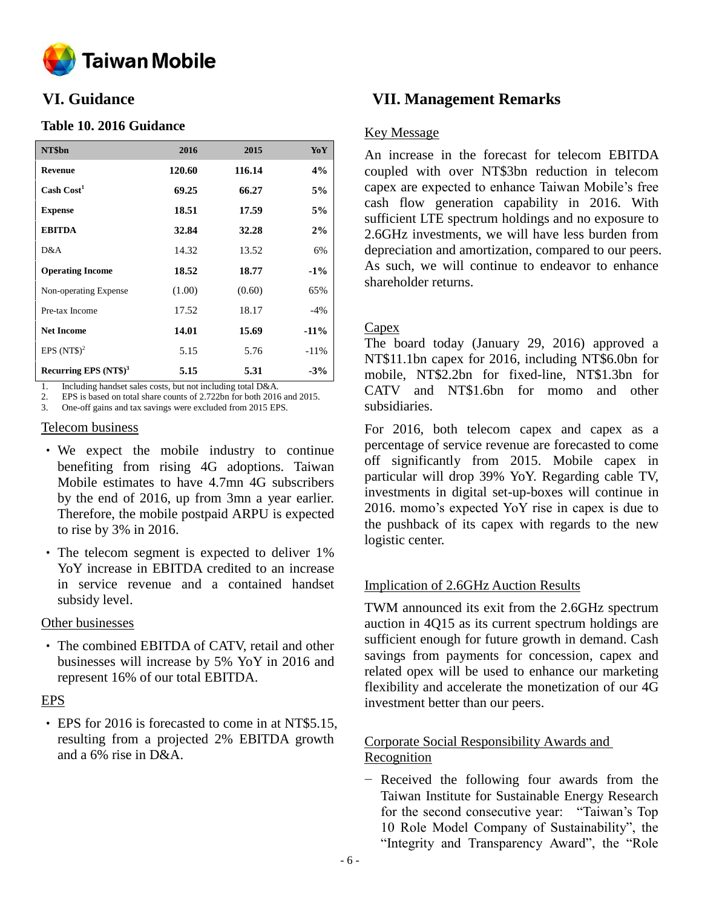

# **Table 10. 2016 Guidance**

| NT\$bn                  | 2016   | 2015   | YoY     |
|-------------------------|--------|--------|---------|
| <b>Revenue</b>          | 120.60 | 116.14 | 4%      |
| Cash Cost <sup>1</sup>  | 69.25  | 66.27  | 5%      |
| <b>Expense</b>          | 18.51  | 17.59  | 5%      |
| <b>EBITDA</b>           | 32.84  | 32.28  | 2%      |
| D&A                     | 14.32  | 13.52  | 6%      |
| <b>Operating Income</b> | 18.52  | 18.77  | $-1\%$  |
| Non-operating Expense   | (1.00) | (0.60) | 65%     |
| Pre-tax Income          | 17.52  | 18.17  | $-4%$   |
| <b>Net Income</b>       | 14.01  | 15.69  | $-11\%$ |
| EPS $(NTS)^2$           | 5.15   | 5.76   | $-11\%$ |
| Recurring EPS $(NT$)^3$ | 5.15   | 5.31   | $-3%$   |

1. Including handset sales costs, but not including total D&A.<br>2. EPS is based on total share counts of 2.722bn for both 2016

2. EPS is based on total share counts of 2.722bn for both 2016 and 2015.

3. One-off gains and tax savings were excluded from 2015 EPS.

# Telecom business

- We expect the mobile industry to continue benefiting from rising 4G adoptions. Taiwan Mobile estimates to have 4.7mn 4G subscribers by the end of 2016, up from 3mn a year earlier. Therefore, the mobile postpaid ARPU is expected to rise by 3% in 2016.
- The telecom segment is expected to deliver 1% YoY increase in EBITDA credited to an increase in service revenue and a contained handset subsidy level.

# Other businesses

• The combined EBITDA of CATV, retail and other businesses will increase by 5% YoY in 2016 and represent 16% of our total EBITDA.

# EPS

• EPS for 2016 is forecasted to come in at NT\$5.15, resulting from a projected 2% EBITDA growth and a 6% rise in D&A.

# **VI. Guidance VII. Management Remarks**

# Key Message

An increase in the forecast for telecom EBITDA coupled with over NT\$3bn reduction in telecom capex are expected to enhance Taiwan Mobile's free cash flow generation capability in 2016. With sufficient LTE spectrum holdings and no exposure to 2.6GHz investments, we will have less burden from depreciation and amortization, compared to our peers. As such, we will continue to endeavor to enhance shareholder returns.

# **Capex**

The board today (January 29, 2016) approved a NT\$11.1bn capex for 2016, including NT\$6.0bn for mobile, NT\$2.2bn for fixed-line, NT\$1.3bn for CATV and NT\$1.6bn for momo and other subsidiaries.

For 2016, both telecom capex and capex as a percentage of service revenue are forecasted to come off significantly from 2015. Mobile capex in particular will drop 39% YoY. Regarding cable TV, investments in digital set-up-boxes will continue in 2016. momo's expected YoY rise in capex is due to the pushback of its capex with regards to the new logistic center.

# Implication of 2.6GHz Auction Results

TWM announced its exit from the 2.6GHz spectrum auction in 4Q15 as its current spectrum holdings are sufficient enough for future growth in demand. Cash savings from payments for concession, capex and related opex will be used to enhance our marketing flexibility and accelerate the monetization of our 4G investment better than our peers.

# Corporate Social Responsibility Awards and Recognition

− Received the following four awards from the Taiwan Institute for Sustainable Energy Research for the second consecutive year: "Taiwan's Top 10 Role Model Company of Sustainability", the "Integrity and Transparency Award", the "Role